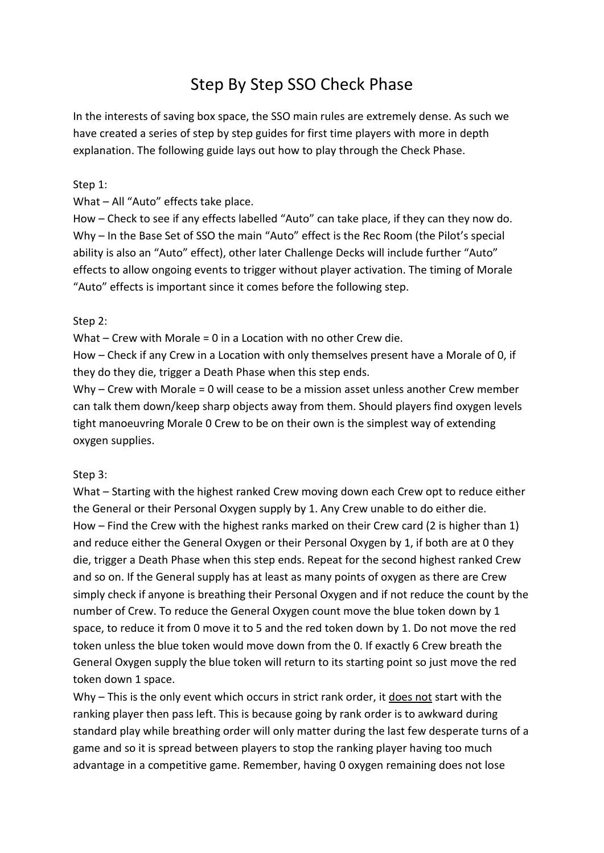# Step By Step SSO Check Phase

In the interests of saving box space, the SSO main rules are extremely dense. As such we have created a series of step by step guides for first time players with more in depth explanation. The following guide lays out how to play through the Check Phase.

### Step 1:

What – All "Auto" effects take place.

How – Check to see if any effects labelled "Auto" can take place, if they can they now do. Why – In the Base Set of SSO the main "Auto" effect is the Rec Room (the Pilot's special ability is also an "Auto" effect), other later Challenge Decks will include further "Auto" effects to allow ongoing events to trigger without player activation. The timing of Morale "Auto" effects is important since it comes before the following step.

### Step 2:

What – Crew with Morale = 0 in a Location with no other Crew die.

How – Check if any Crew in a Location with only themselves present have a Morale of 0, if they do they die, trigger a Death Phase when this step ends.

Why – Crew with Morale = 0 will cease to be a mission asset unless another Crew member can talk them down/keep sharp objects away from them. Should players find oxygen levels tight manoeuvring Morale 0 Crew to be on their own is the simplest way of extending oxygen supplies.

### Step 3:

What – Starting with the highest ranked Crew moving down each Crew opt to reduce either the General or their Personal Oxygen supply by 1. Any Crew unable to do either die. How – Find the Crew with the highest ranks marked on their Crew card (2 is higher than 1) and reduce either the General Oxygen or their Personal Oxygen by 1, if both are at 0 they die, trigger a Death Phase when this step ends. Repeat for the second highest ranked Crew and so on. If the General supply has at least as many points of oxygen as there are Crew simply check if anyone is breathing their Personal Oxygen and if not reduce the count by the number of Crew. To reduce the General Oxygen count move the blue token down by 1 space, to reduce it from 0 move it to 5 and the red token down by 1. Do not move the red token unless the blue token would move down from the 0. If exactly 6 Crew breath the General Oxygen supply the blue token will return to its starting point so just move the red token down 1 space.

Why – This is the only event which occurs in strict rank order, it does not start with the ranking player then pass left. This is because going by rank order is to awkward during standard play while breathing order will only matter during the last few desperate turns of a game and so it is spread between players to stop the ranking player having too much advantage in a competitive game. Remember, having 0 oxygen remaining does not lose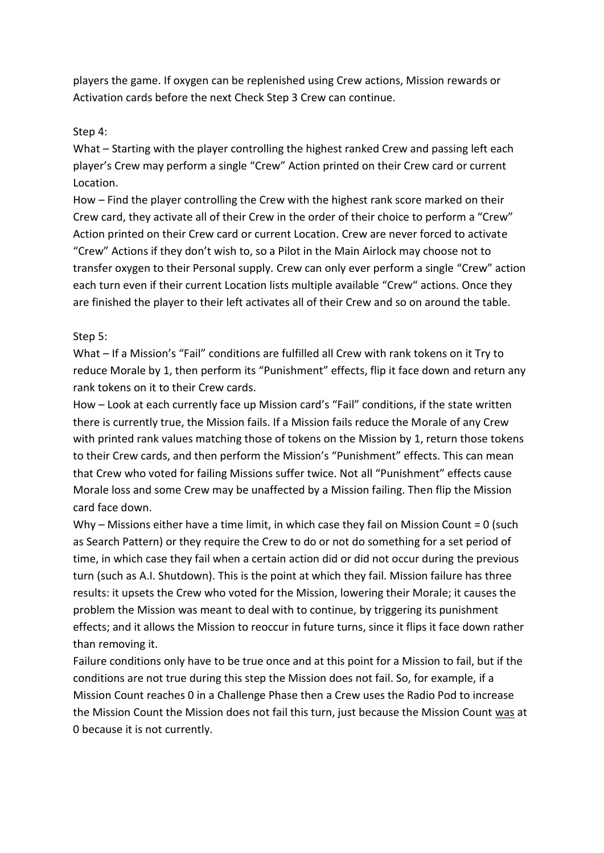players the game. If oxygen can be replenished using Crew actions, Mission rewards or Activation cards before the next Check Step 3 Crew can continue.

### Step 4:

What – Starting with the player controlling the highest ranked Crew and passing left each player's Crew may perform a single "Crew" Action printed on their Crew card or current Location.

How – Find the player controlling the Crew with the highest rank score marked on their Crew card, they activate all of their Crew in the order of their choice to perform a "Crew" Action printed on their Crew card or current Location. Crew are never forced to activate "Crew" Actions if they don't wish to, so a Pilot in the Main Airlock may choose not to transfer oxygen to their Personal supply. Crew can only ever perform a single "Crew" action each turn even if their current Location lists multiple available "Crew" actions. Once they are finished the player to their left activates all of their Crew and so on around the table.

## Step 5:

What – If a Mission's "Fail" conditions are fulfilled all Crew with rank tokens on it Try to reduce Morale by 1, then perform its "Punishment" effects, flip it face down and return any rank tokens on it to their Crew cards.

How – Look at each currently face up Mission card's "Fail" conditions, if the state written there is currently true, the Mission fails. If a Mission fails reduce the Morale of any Crew with printed rank values matching those of tokens on the Mission by 1, return those tokens to their Crew cards, and then perform the Mission's "Punishment" effects. This can mean that Crew who voted for failing Missions suffer twice. Not all "Punishment" effects cause Morale loss and some Crew may be unaffected by a Mission failing. Then flip the Mission card face down.

Why – Missions either have a time limit, in which case they fail on Mission Count = 0 (such as Search Pattern) or they require the Crew to do or not do something for a set period of time, in which case they fail when a certain action did or did not occur during the previous turn (such as A.I. Shutdown). This is the point at which they fail. Mission failure has three results: it upsets the Crew who voted for the Mission, lowering their Morale; it causes the problem the Mission was meant to deal with to continue, by triggering its punishment effects; and it allows the Mission to reoccur in future turns, since it flips it face down rather than removing it.

Failure conditions only have to be true once and at this point for a Mission to fail, but if the conditions are not true during this step the Mission does not fail. So, for example, if a Mission Count reaches 0 in a Challenge Phase then a Crew uses the Radio Pod to increase the Mission Count the Mission does not fail this turn, just because the Mission Count was at 0 because it is not currently.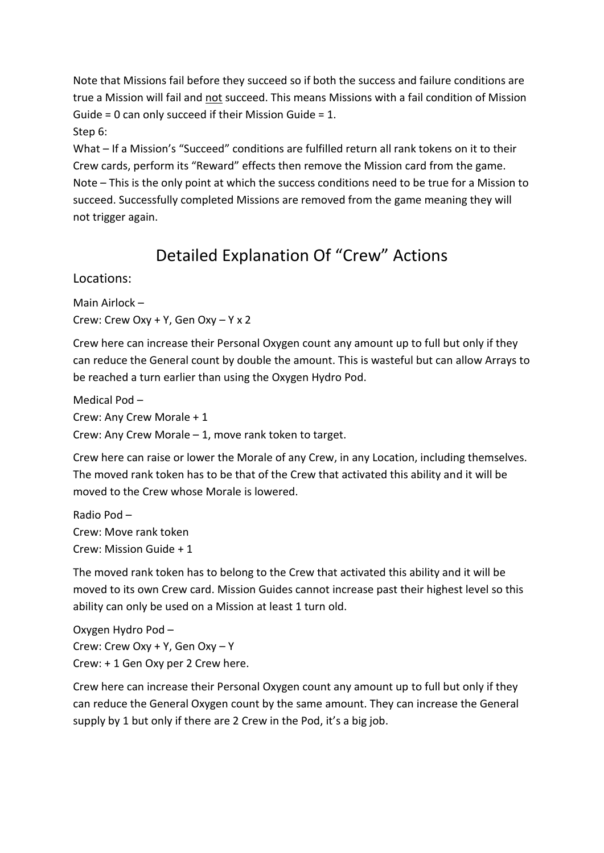Note that Missions fail before they succeed so if both the success and failure conditions are true a Mission will fail and not succeed. This means Missions with a fail condition of Mission Guide = 0 can only succeed if their Mission Guide = 1. Step 6:

What – If a Mission's "Succeed" conditions are fulfilled return all rank tokens on it to their Crew cards, perform its "Reward" effects then remove the Mission card from the game. Note – This is the only point at which the success conditions need to be true for a Mission to succeed. Successfully completed Missions are removed from the game meaning they will not trigger again.

# Detailed Explanation Of "Crew" Actions

Locations:

Main Airlock – Crew: Crew Oxy + Y, Gen Oxy – Y x 2

Crew here can increase their Personal Oxygen count any amount up to full but only if they can reduce the General count by double the amount. This is wasteful but can allow Arrays to be reached a turn earlier than using the Oxygen Hydro Pod.

Medical Pod – Crew: Any Crew Morale + 1 Crew: Any Crew Morale – 1, move rank token to target.

Crew here can raise or lower the Morale of any Crew, in any Location, including themselves. The moved rank token has to be that of the Crew that activated this ability and it will be moved to the Crew whose Morale is lowered.

Radio Pod – Crew: Move rank token Crew: Mission Guide + 1

The moved rank token has to belong to the Crew that activated this ability and it will be moved to its own Crew card. Mission Guides cannot increase past their highest level so this ability can only be used on a Mission at least 1 turn old.

Oxygen Hydro Pod – Crew: Crew Oxy + Y, Gen Oxy – Y Crew: + 1 Gen Oxy per 2 Crew here.

Crew here can increase their Personal Oxygen count any amount up to full but only if they can reduce the General Oxygen count by the same amount. They can increase the General supply by 1 but only if there are 2 Crew in the Pod, it's a big job.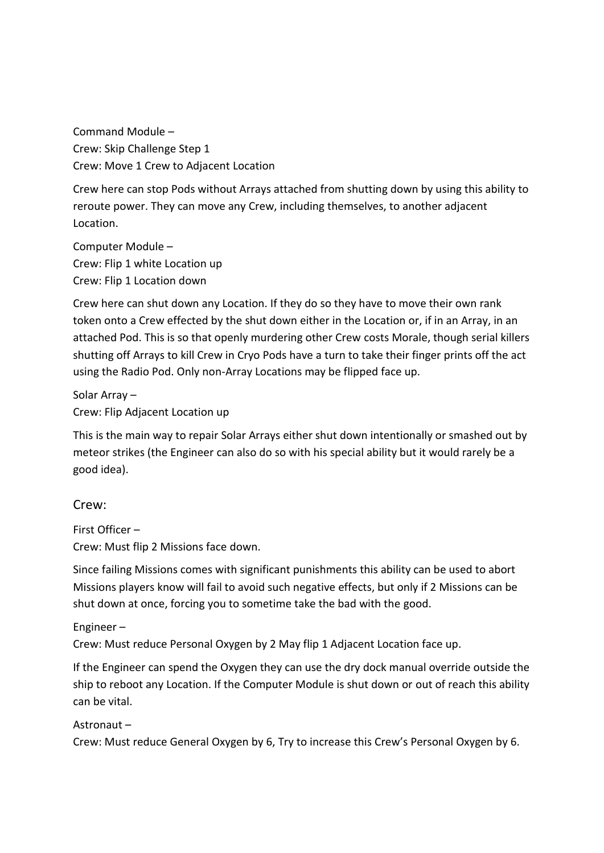Command Module – Crew: Skip Challenge Step 1 Crew: Move 1 Crew to Adjacent Location

Crew here can stop Pods without Arrays attached from shutting down by using this ability to reroute power. They can move any Crew, including themselves, to another adjacent Location.

Computer Module – Crew: Flip 1 white Location up Crew: Flip 1 Location down

Crew here can shut down any Location. If they do so they have to move their own rank token onto a Crew effected by the shut down either in the Location or, if in an Array, in an attached Pod. This is so that openly murdering other Crew costs Morale, though serial killers shutting off Arrays to kill Crew in Cryo Pods have a turn to take their finger prints off the act using the Radio Pod. Only non-Array Locations may be flipped face up.

Solar Array – Crew: Flip Adjacent Location up

This is the main way to repair Solar Arrays either shut down intentionally or smashed out by meteor strikes (the Engineer can also do so with his special ability but it would rarely be a good idea).

# Crew:

First Officer – Crew: Must flip 2 Missions face down.

Since failing Missions comes with significant punishments this ability can be used to abort Missions players know will fail to avoid such negative effects, but only if 2 Missions can be shut down at once, forcing you to sometime take the bad with the good.

Engineer – Crew: Must reduce Personal Oxygen by 2 May flip 1 Adjacent Location face up.

If the Engineer can spend the Oxygen they can use the dry dock manual override outside the ship to reboot any Location. If the Computer Module is shut down or out of reach this ability can be vital.

### Astronaut –

Crew: Must reduce General Oxygen by 6, Try to increase this Crew's Personal Oxygen by 6.